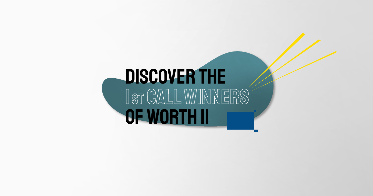# DISCOVER THE IST CALL WINNERS **OF WORTH II**

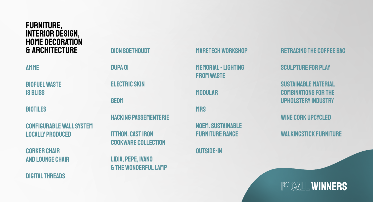DION SOETHOUDT DUPA OI Electric Skin GEOM Hacking Passementerie itthon. cast iron cookware collection LIDIA, PEPE, IVANO & THE WONDERFUL LAMP

Retracing the coffee bag

NOEM. Sustainable **FURNITURE RANGE** 

Sculpture for Play

Sustainable material combinations for the upholstery industry

WINE CORK UPCYCLED

WALKINGSTICK FURNITURE

## IST CALL WINNERS

- 
- 



**CORKER CHAIR** and lounge chair MARETECH WORKSHOP

MEMORIAL - LIGHTING FROM WASTE

**MODULAR** 

**MRS** 

Outside-In

#### FuRNITURE, INTERIOR DESIGN, HOME DECORATION & ARCHITECTURE

AMME

Biofuel Waste is Bliss

**BIOTILES** 

Configurable Wall System Locally Produced

Digital Threads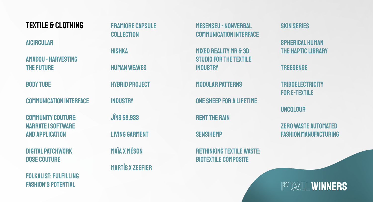#### **TEXTILE & CLOTHING**

**AICIRCULAR** 

**AMADOU - HARVESTING THE FUTURE** 

**BODY TUBE** 

**COMMUNICATION INTERFACE** 

**COMMUNITY COUTURE: NARRATE I SOFTWARE AND APPLICATION** 

**DIGITAL PATCHWORK DOSE COUTURE** 

**FOLKALIST: FULFILLING FASHION'S POTENTIAL** 

**FRAMIORE CAPSULE COLLECTION HISHKA HUMAN WEAVES HYBRID PROJECT INDUSTRY JINS 58.933 LIVING GARMENT MAÏA X MÉSON MARTÍS X ZEEFIER** 

**MESENSEU - NONVERBAL COMMUNICATION INTERFACE** 

MIXED REALITY MR & 3D **STUDIO FOR THE TEXTILE INDUSTRY** 

**MODULAR PATTERNS** 

ONE SHEEP FOR A LIFETIME

**RENT THE RAIN** 

**SENSIHEMP** 

**RETHINKING TEXTILE WASTE: BIOTEXTILE COMPOSITE** 

**SKIN SERIES** 

**SPHERICAL HUMAN THE HAPTIC LIBRARY** 

**TREESENSE** 

**TRIBOELECTRICITY FOR E-TEXTILE** 

**UNCOLOUR** 

**ZERO WASTE AUTOMATED FASHION MANUFACTURING** 

IST CALL WINNERS